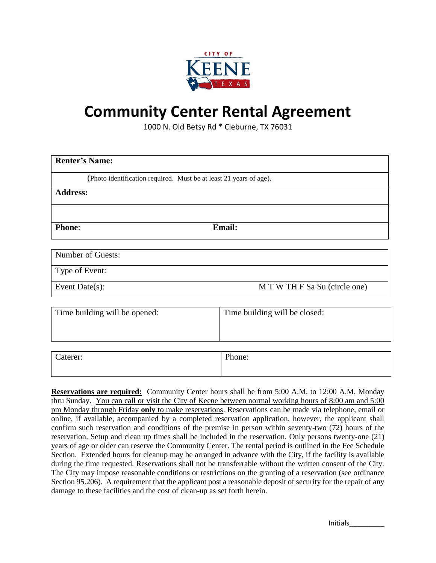

# **Community Center Rental Agreement**

1000 N. Old Betsy Rd \* Cleburne, TX 76031

| <b>Renter's Name:</b>                                              |        |  |  |  |  |
|--------------------------------------------------------------------|--------|--|--|--|--|
| (Photo identification required. Must be at least 21 years of age). |        |  |  |  |  |
| <b>Address:</b>                                                    |        |  |  |  |  |
|                                                                    |        |  |  |  |  |
| <b>Phone:</b>                                                      | Email: |  |  |  |  |
|                                                                    |        |  |  |  |  |
| Number of Guests:                                                  |        |  |  |  |  |

Type of Event:

Event Date(s): M T W TH F Sa Su (circle one)

| Time building will be opened: | Time building will be closed: |  |
|-------------------------------|-------------------------------|--|
| Caterer:                      | Phone:                        |  |

**Reservations are required:** Community Center hours shall be from 5:00 A.M. to 12:00 A.M. Monday thru Sunday. You can call or visit the City of Keene between normal working hours of 8:00 am and 5:00 pm Monday through Friday **only** to make reservations. Reservations can be made via telephone, email or online, if available, accompanied by a completed reservation application, however, the applicant shall confirm such reservation and conditions of the premise in person within seventy-two (72) hours of the reservation. Setup and clean up times shall be included in the reservation. Only persons twenty-one (21) years of age or older can reserve the Community Center. The rental period is outlined in the Fee Schedule Section. Extended hours for cleanup may be arranged in advance with the City, if the facility is available during the time requested. Reservations shall not be transferrable without the written consent of the City. The City may impose reasonable conditions or restrictions on the granting of a reservation (see ordinance Section 95.206). A requirement that the applicant post a reasonable deposit of security for the repair of any damage to these facilities and the cost of clean-up as set forth herein.

Initials\_\_\_\_\_\_\_\_\_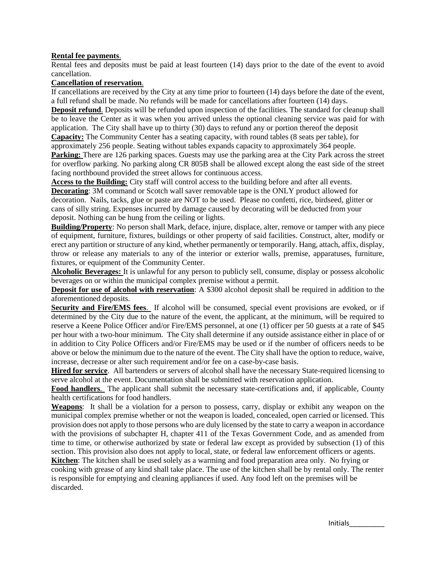#### **Rental fee payments**.

Rental fees and deposits must be paid at least fourteen (14) days prior to the date of the event to avoid cancellation.

#### **Cancellation of reservation**.

If cancellations are received by the City at any time prior to fourteen (14) days before the date of the event, a full refund shall be made. No refunds will be made for cancellations after fourteen (14) days.

**Deposit refund**. Deposits will be refunded upon inspection of the facilities. The standard for cleanup shall be to leave the Center as it was when you arrived unless the optional cleaning service was paid for with application. The City shall have up to thirty (30) days to refund any or portion thereof the deposit

**Capacity:** The Community Center has a seating capacity, with round tables (8 seats per table), for approximately 256 people. Seating without tables expands capacity to approximately 364 people.

**Parking:** There are 126 parking spaces. Guests may use the parking area at the City Park across the street for overflow parking. No parking along CR 805B shall be allowed except along the east side of the street facing northbound provided the street allows for continuous access.

**Access to the Building:** City staff will control access to the building before and after all events.

**Decorating**: 3M command or Scotch wall saver removable tape is the ONLY product allowed for decoration. Nails, tacks, glue or paste are NOT to be used. Please no confetti, rice, birdseed, glitter or cans of silly string. Expenses incurred by damage caused by decorating will be deducted from your deposit. Nothing can be hung from the ceiling or lights.

**Building/Property**: No person shall Mark, deface, injure, displace, alter, remove or tamper with any piece of equipment, furniture, fixtures, buildings or other property of said facilities. Construct, alter, modify or erect any partition or structure of any kind, whether permanently or temporarily. Hang, attach, affix, display, throw or release any materials to any of the interior or exterior walls, premise, apparatuses, furniture, fixtures, or equipment of the Community Center.

**Alcoholic Beverages:** It is unlawful for any person to publicly sell, consume, display or possess alcoholic beverages on or within the municipal complex premise without a permit.

**Deposit for use of alcohol with reservation**: A \$300 alcohol deposit shall be required in addition to the aforementioned deposits.

**Security and Fire/EMS fees**. If alcohol will be consumed, special event provisions are evoked, or if determined by the City due to the nature of the event, the applicant, at the minimum, will be required to reserve a Keene Police Officer and/or Fire/EMS personnel, at one (1) officer per 50 guests at a rate of \$45 per hour with a two-hour minimum. The City shall determine if any outside assistance either in place of or in addition to City Police Officers and/or Fire/EMS may be used or if the number of officers needs to be above or below the minimum due to the nature of the event. The City shall have the option to reduce, waive, increase, decrease or alter such requirement and/or fee on a case-by-case basis.

**Hired for service**. All bartenders or servers of alcohol shall have the necessary State-required licensing to serve alcohol at the event. Documentation shall be submitted with reservation application.

**Food handlers**. The applicant shall submit the necessary state-certifications and, if applicable, County health certifications for food handlers.

**Weapons**: It shall be a violation for a person to possess, carry, display or exhibit any weapon on the municipal complex premise whether or not the weapon is loaded, concealed, open carried or licensed. This provision does not apply to those persons who are duly licensed by the state to carry a weapon in accordance with the provisions of subchapter H, chapter 411 of the Texas Government Code, and as amended from time to time, or otherwise authorized by state or federal law except as provided by subsection (1) of this section. This provision also does not apply to local, state, or federal law enforcement officers or agents.

**Kitchen**: The kitchen shall be used solely as a warming and food preparation area only. No frying or cooking with grease of any kind shall take place. The use of the kitchen shall be by rental only. The renter is responsible for emptying and cleaning appliances if used. Any food left on the premises will be discarded.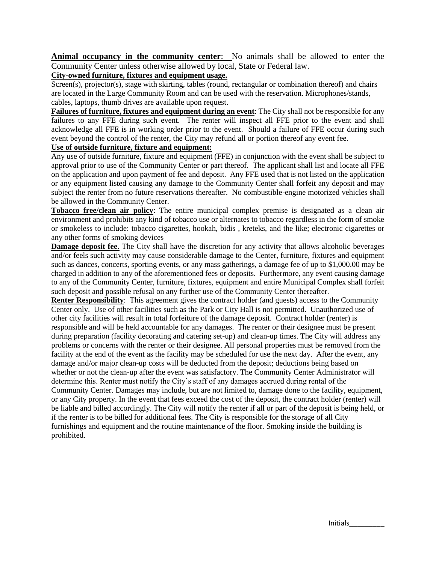**Animal occupancy in the community center**: No animals shall be allowed to enter the Community Center unless otherwise allowed by local, State or Federal law.

#### **City-owned furniture, fixtures and equipment usage.**

Screen(s), projector(s), stage with skirting, tables (round, rectangular or combination thereof) and chairs are located in the Large Community Room and can be used with the reservation. Microphones/stands, cables, laptops, thumb drives are available upon request.

**Failures of furniture, fixtures and equipment during an event**: The City shall not be responsible for any failures to any FFE during such event. The renter will inspect all FFE prior to the event and shall acknowledge all FFE is in working order prior to the event. Should a failure of FFE occur during such event beyond the control of the renter, the City may refund all or portion thereof any event fee.

#### **Use of outside furniture, fixture and equipment:**

Any use of outside furniture, fixture and equipment (FFE) in conjunction with the event shall be subject to approval prior to use of the Community Center or part thereof. The applicant shall list and locate all FFE on the application and upon payment of fee and deposit. Any FFE used that is not listed on the application or any equipment listed causing any damage to the Community Center shall forfeit any deposit and may subject the renter from no future reservations thereafter. No combustible-engine motorized vehicles shall be allowed in the Community Center.

**Tobacco free/clean air policy**: The entire municipal complex premise is designated as a clean air environment and prohibits any kind of tobacco use or alternates to tobacco regardless in the form of smoke or smokeless to include: tobacco cigarettes, hookah, bidis , kreteks, and the like; electronic cigarettes or any other forms of smoking devices

**Damage deposit fee**. The City shall have the discretion for any activity that allows alcoholic beverages and/or feels such activity may cause considerable damage to the Center, furniture, fixtures and equipment such as dances, concerts, sporting events, or any mass gatherings, a damage fee of up to \$1,000.00 may be charged in addition to any of the aforementioned fees or deposits. Furthermore, any event causing damage to any of the Community Center, furniture, fixtures, equipment and entire Municipal Complex shall forfeit such deposit and possible refusal on any further use of the Community Center thereafter.

**Renter Responsibility**: This agreement gives the contract holder (and guests) access to the Community Center only. Use of other facilities such as the Park or City Hall is not permitted. Unauthorized use of other city facilities will result in total forfeiture of the damage deposit. Contract holder (renter) is responsible and will be held accountable for any damages. The renter or their designee must be present during preparation (facility decorating and catering set-up) and clean-up times. The City will address any problems or concerns with the renter or their designee. All personal properties must be removed from the facility at the end of the event as the facility may be scheduled for use the next day. After the event, any damage and/or major clean-up costs will be deducted from the deposit; deductions being based on whether or not the clean-up after the event was satisfactory. The Community Center Administrator will determine this. Renter must notify the City's staff of any damages accrued during rental of the Community Center. Damages may include, but are not limited to, damage done to the facility, equipment, or any City property. In the event that fees exceed the cost of the deposit, the contract holder (renter) will be liable and billed accordingly. The City will notify the renter if all or part of the deposit is being held, or if the renter is to be billed for additional fees. The City is responsible for the storage of all City furnishings and equipment and the routine maintenance of the floor. Smoking inside the building is prohibited.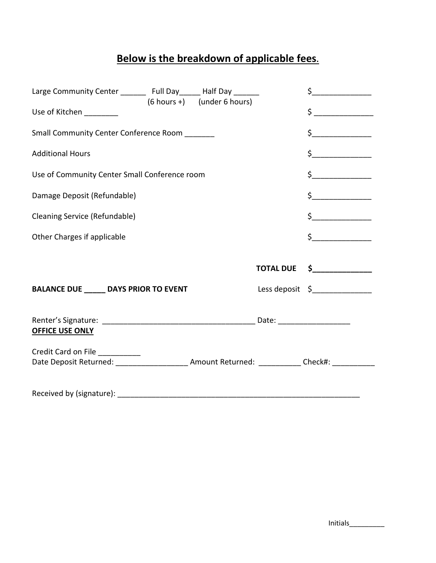## **Below is the breakdown of applicable fees.**

| Large Community Center ________ Full Day ______ Half Day ______<br>$(6 hours +)$ (under 6 hours)                                        |                                                                                                                                                                                                                                                                                                                                                     | $\begin{array}{c} \n \uparrow \text{---} \quad \text{---} \quad \text{---} \quad \text{---} \quad \text{---} \quad \text{---} \quad \text{---} \quad \text{---} \quad \text{---} \quad \text{---} \quad \text{---} \quad \text{---} \quad \text{---} \quad \text{---} \quad \text{---} \quad \text{---} \quad \text{---} \quad \text{---} \quad \text{---} \quad \text{---} \quad \text{---} \quad \text{---} \quad \text{---} \quad \text{---} \quad \text{---} \quad \text{---} \quad \text{---} \quad \text{---} \quad \text{---} \quad \text{---}$ |
|-----------------------------------------------------------------------------------------------------------------------------------------|-----------------------------------------------------------------------------------------------------------------------------------------------------------------------------------------------------------------------------------------------------------------------------------------------------------------------------------------------------|--------------------------------------------------------------------------------------------------------------------------------------------------------------------------------------------------------------------------------------------------------------------------------------------------------------------------------------------------------------------------------------------------------------------------------------------------------------------------------------------------------------------------------------------------------|
| Use of Kitchen _________                                                                                                                |                                                                                                                                                                                                                                                                                                                                                     | $\frac{1}{2}$                                                                                                                                                                                                                                                                                                                                                                                                                                                                                                                                          |
| Small Community Center Conference Room                                                                                                  |                                                                                                                                                                                                                                                                                                                                                     | $\begin{picture}(20,20) \put(0,0){\line(1,0){10}} \put(15,0){\line(1,0){10}} \put(15,0){\line(1,0){10}} \put(15,0){\line(1,0){10}} \put(15,0){\line(1,0){10}} \put(15,0){\line(1,0){10}} \put(15,0){\line(1,0){10}} \put(15,0){\line(1,0){10}} \put(15,0){\line(1,0){10}} \put(15,0){\line(1,0){10}} \put(15,0){\line(1,0){10}} \put(15,0){\line(1$                                                                                                                                                                                                    |
| <b>Additional Hours</b>                                                                                                                 |                                                                                                                                                                                                                                                                                                                                                     | $\zeta$                                                                                                                                                                                                                                                                                                                                                                                                                                                                                                                                                |
| Use of Community Center Small Conference room                                                                                           | $\begin{picture}(20,20) \put(0,0){\line(1,0){10}} \put(15,0){\line(1,0){10}} \put(15,0){\line(1,0){10}} \put(15,0){\line(1,0){10}} \put(15,0){\line(1,0){10}} \put(15,0){\line(1,0){10}} \put(15,0){\line(1,0){10}} \put(15,0){\line(1,0){10}} \put(15,0){\line(1,0){10}} \put(15,0){\line(1,0){10}} \put(15,0){\line(1,0){10}} \put(15,0){\line(1$ |                                                                                                                                                                                                                                                                                                                                                                                                                                                                                                                                                        |
| Damage Deposit (Refundable)                                                                                                             |                                                                                                                                                                                                                                                                                                                                                     | $\begin{array}{c} \xi \end{array}$                                                                                                                                                                                                                                                                                                                                                                                                                                                                                                                     |
| Cleaning Service (Refundable)                                                                                                           |                                                                                                                                                                                                                                                                                                                                                     | $\begin{array}{c} \n \uparrow \text{S} \quad \text{S} \quad \text{S} \quad \text{S} \quad \text{S} \quad \text{S} \quad \text{S} \quad \text{S} \quad \text{S} \quad \text{S} \quad \text{S} \quad \text{S} \quad \text{S} \quad \text{S} \quad \text{S} \quad \text{S} \quad \text{S} \quad \text{S} \quad \text{S} \quad \text{S} \quad \text{S} \quad \text{S} \quad \text{S} \quad \text{S} \quad \text{S} \quad \text{S} \quad \text{S} \quad \text{S} \quad \text{S} \quad \text{S}$                                                             |
| Other Charges if applicable                                                                                                             |                                                                                                                                                                                                                                                                                                                                                     | $\frac{1}{2}$                                                                                                                                                                                                                                                                                                                                                                                                                                                                                                                                          |
|                                                                                                                                         | <b>TOTAL DUE</b>                                                                                                                                                                                                                                                                                                                                    | $\frac{1}{2}$                                                                                                                                                                                                                                                                                                                                                                                                                                                                                                                                          |
| <b>BALANCE DUE _____ DAYS PRIOR TO EVENT</b>                                                                                            |                                                                                                                                                                                                                                                                                                                                                     | Less deposit $\zeta$                                                                                                                                                                                                                                                                                                                                                                                                                                                                                                                                   |
| <b>OFFICE USE ONLY</b>                                                                                                                  |                                                                                                                                                                                                                                                                                                                                                     |                                                                                                                                                                                                                                                                                                                                                                                                                                                                                                                                                        |
| Credit Card on File __________<br>Date Deposit Returned: __________________________ Amount Returned: _____________ Check#: ____________ |                                                                                                                                                                                                                                                                                                                                                     |                                                                                                                                                                                                                                                                                                                                                                                                                                                                                                                                                        |
|                                                                                                                                         |                                                                                                                                                                                                                                                                                                                                                     |                                                                                                                                                                                                                                                                                                                                                                                                                                                                                                                                                        |

Initials\_\_\_\_\_\_\_\_\_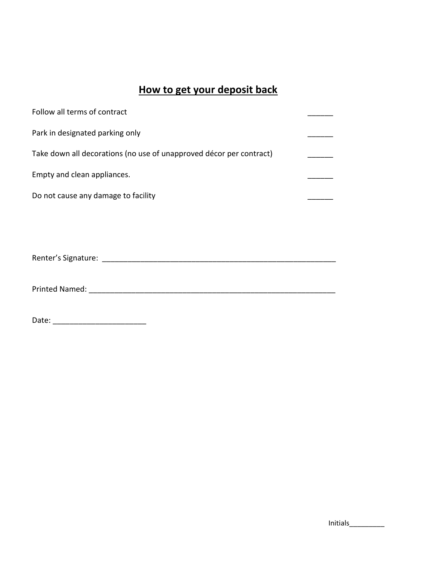### **How to get your deposit back**

| Follow all terms of contract                                        |  |
|---------------------------------------------------------------------|--|
| Park in designated parking only                                     |  |
| Take down all decorations (no use of unapproved décor per contract) |  |
| Empty and clean appliances.                                         |  |
| Do not cause any damage to facility                                 |  |

Renter's Signature: \_\_\_\_\_\_\_\_\_\_\_\_\_\_\_\_\_\_\_\_\_\_\_\_\_\_\_\_\_\_\_\_\_\_\_\_\_\_\_\_\_\_\_\_\_\_\_\_\_\_\_\_\_\_\_

Printed Named: \_\_\_\_\_\_\_\_\_\_\_\_\_\_\_\_\_\_\_\_\_\_\_\_\_\_\_\_\_\_\_\_\_\_\_\_\_\_\_\_\_\_\_\_\_\_\_\_\_\_\_\_\_\_\_\_\_\_

Date: \_\_\_\_\_\_\_\_\_\_\_\_\_\_\_\_\_\_\_\_\_\_